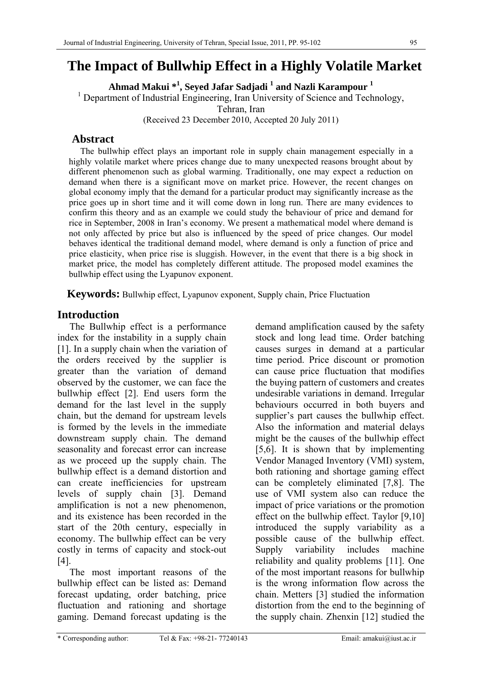# **The Impact of Bullwhip Effect in a Highly Volatile Market**

**Ahmad Makui \*1 , Seyed Jafar Sadjadi 1 and Nazli Karampour 1**

<sup>1</sup> Department of Industrial Engineering, Iran University of Science and Technology,

Tehran, Iran

(Received 23 December 2010, Accepted 20 July 2011)

# **Abstract**

The bullwhip effect plays an important role in supply chain management especially in a highly volatile market where prices change due to many unexpected reasons brought about by different phenomenon such as global warming. Traditionally, one may expect a reduction on demand when there is a significant move on market price. However, the recent changes on global economy imply that the demand for a particular product may significantly increase as the price goes up in short time and it will come down in long run. There are many evidences to confirm this theory and as an example we could study the behaviour of price and demand for rice in September, 2008 in Iran's economy. We present a mathematical model where demand is not only affected by price but also is influenced by the speed of price changes. Our model behaves identical the traditional demand model, where demand is only a function of price and price elasticity, when price rise is sluggish. However, in the event that there is a big shock in market price, the model has completely different attitude. The proposed model examines the bullwhip effect using the Lyapunov exponent.

**Keywords:** Bullwhip effect, Lyapunov exponent, Supply chain, Price Fluctuation

# **Introduction**

 The Bullwhip effect is a performance index for the instability in a supply chain [1]. In a supply chain when the variation of the orders received by the supplier is greater than the variation of demand observed by the customer, we can face the bullwhip effect [2]. End users form the demand for the last level in the supply chain, but the demand for upstream levels is formed by the levels in the immediate downstream supply chain. The demand seasonality and forecast error can increase as we proceed up the supply chain. The bullwhip effect is a demand distortion and can create inefficiencies for upstream levels of supply chain [3]. Demand amplification is not a new phenomenon, and its existence has been recorded in the start of the 20th century, especially in economy. The bullwhip effect can be very costly in terms of capacity and stock-out [4].

 The most important reasons of the bullwhip effect can be listed as: Demand forecast updating, order batching, price fluctuation and rationing and shortage gaming. Demand forecast updating is the

demand amplification caused by the safety stock and long lead time. Order batching causes surges in demand at a particular time period. Price discount or promotion can cause price fluctuation that modifies the buying pattern of customers and creates undesirable variations in demand. Irregular behaviours occurred in both buyers and supplier's part causes the bullwhip effect. Also the information and material delays might be the causes of the bullwhip effect [5,6]. It is shown that by implementing Vendor Managed Inventory (VMI) system, both rationing and shortage gaming effect can be completely eliminated [7,8]. The use of VMI system also can reduce the impact of price variations or the promotion effect on the bullwhip effect. Taylor [9,10] introduced the supply variability as a possible cause of the bullwhip effect. Supply variability includes machine reliability and quality problems [11]. One of the most important reasons for bullwhip is the wrong information flow across the chain. Metters [3] studied the information distortion from the end to the beginning of the supply chain. Zhenxin [12] studied the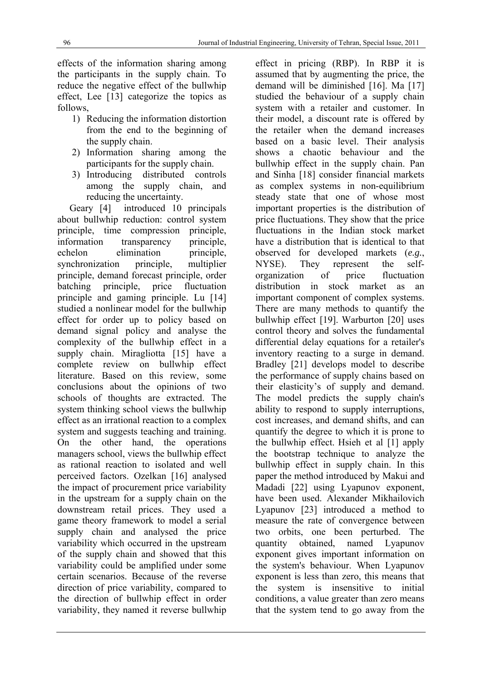effects of the information sharing among the participants in the supply chain. To reduce the negative effect of the bullwhip effect, Lee [13] categorize the topics as follows,

- 1) Reducing the information distortion from the end to the beginning of the supply chain.
- 2) Information sharing among the participants for the supply chain.
- 3) Introducing distributed controls among the supply chain, and reducing the uncertainty.

 Geary [4] introduced 10 principals about bullwhip reduction: control system principle, time compression principle, information transparency principle, echelon elimination principle, synchronization principle, multiplier principle, demand forecast principle, order batching principle, price fluctuation principle and gaming principle. Lu [14] studied a nonlinear model for the bullwhip effect for order up to policy based on demand signal policy and analyse the complexity of the bullwhip effect in a supply chain. Miragliotta [15] have a complete review on bullwhip effect literature. Based on this review, some conclusions about the opinions of two schools of thoughts are extracted. The system thinking school views the bullwhip effect as an irrational reaction to a complex system and suggests teaching and training. On the other hand, the operations managers school, views the bullwhip effect as rational reaction to isolated and well perceived factors. Ozelkan [16] analysed the impact of procurement price variability in the upstream for a supply chain on the downstream retail prices. They used a game theory framework to model a serial supply chain and analysed the price variability which occurred in the upstream of the supply chain and showed that this variability could be amplified under some certain scenarios. Because of the reverse direction of price variability, compared to the direction of bullwhip effect in order variability, they named it reverse bullwhip effect in pricing (RBP). In RBP it is assumed that by augmenting the price, the demand will be diminished [16]. Ma [17] studied the behaviour of a supply chain system with a retailer and customer. In their model, a discount rate is offered by the retailer when the demand increases based on a basic level. Their analysis shows a chaotic behaviour and the bullwhip effect in the supply chain. Pan and Sinha [18] consider financial markets as complex systems in non-equilibrium steady state that one of whose most important properties is the distribution of price fluctuations. They show that the price fluctuations in the Indian stock market have a distribution that is identical to that observed for developed markets (*e.g.*, NYSE). They represent the selforganization of price fluctuation distribution in stock market as an important component of complex systems. There are many methods to quantify the bullwhip effect [19]. Warburton [20] uses control theory and solves the fundamental differential delay equations for a retailer's inventory reacting to a surge in demand. Bradley [21] develops model to describe the performance of supply chains based on their elasticity's of supply and demand. The model predicts the supply chain's ability to respond to supply interruptions, cost increases, and demand shifts, and can quantify the degree to which it is prone to the bullwhip effect. Hsieh et al [1] apply the bootstrap technique to analyze the bullwhip effect in supply chain. In this paper the method introduced by Makui and Madadi [22] using Lyapunov exponent, have been used. Alexander Mikhailovich Lyapunov [23] introduced a method to measure the rate of convergence between two orbits, one been perturbed. The quantity obtained, named Lyapunov exponent gives important information on the system's behaviour. When Lyapunov exponent is less than zero, this means that the system is insensitive to initial conditions, a value greater than zero means that the system tend to go away from the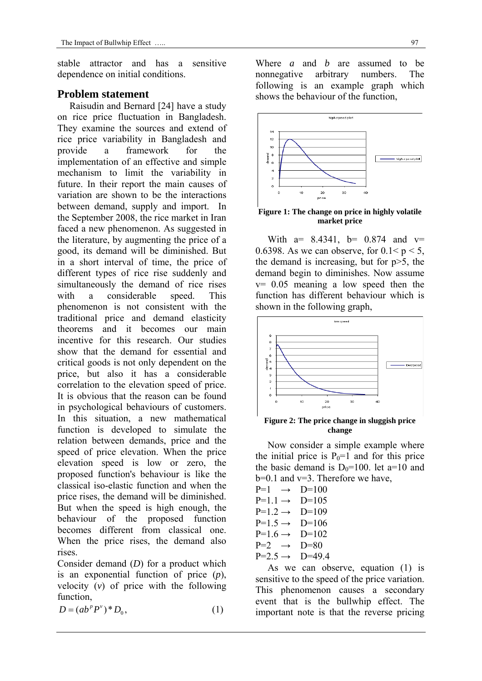stable attractor and has a sensitive dependence on initial conditions.

### **Problem statement**

 Raisudin and Bernard [24] have a study on rice price fluctuation in Bangladesh. They examine the sources and extend of rice price variability in Bangladesh and provide a framework for the implementation of an effective and simple mechanism to limit the variability in future. In their report the main causes of variation are shown to be the interactions between demand, supply and import. In the September 2008, the rice market in Iran faced a new phenomenon. As suggested in the literature, by augmenting the price of a good, its demand will be diminished. But in a short interval of time, the price of different types of rice rise suddenly and simultaneously the demand of rice rises with a considerable speed. This phenomenon is not consistent with the traditional price and demand elasticity theorems and it becomes our main incentive for this research. Our studies show that the demand for essential and critical goods is not only dependent on the price, but also it has a considerable correlation to the elevation speed of price. It is obvious that the reason can be found in psychological behaviours of customers. In this situation, a new mathematical function is developed to simulate the relation between demands, price and the speed of price elevation. When the price elevation speed is low or zero, the proposed function's behaviour is like the classical iso-elastic function and when the price rises, the demand will be diminished. But when the speed is high enough, the behaviour of the proposed function becomes different from classical one. When the price rises, the demand also rises.

Consider demand (*D*) for a product which is an exponential function of price (*p*), velocity (*v*) of price with the following function,

$$
D = (ab^p P^v)^* D_0, \qquad (1)
$$

Where *a* and *b* are assumed to be nonnegative arbitrary numbers. The following is an example graph which shows the behaviour of the function,



**Figure 1: The change on price in highly volatile market price** 

With  $a= 8.4341$ ,  $b= 0.874$  and  $v=$ 0.6398. As we can observe, for  $0.1 < p < 5$ , the demand is increasing, but for p>5, the demand begin to diminishes. Now assume v= 0.05 meaning a low speed then the function has different behaviour which is shown in the following graph,



**Figure 2: The price change in sluggish price change** 

 Now consider a simple example where the initial price is  $P_0=1$  and for this price the basic demand is  $D_0=100$ . let a=10 and b=0.1 and v=3. Therefore we have,

| $P=1 \rightarrow$     | $D=100$  |
|-----------------------|----------|
| $P=11 \rightarrow$    | $D=105$  |
| $P=1$ 2 $\rightarrow$ | $D=109$  |
| $P=1.5 \rightarrow$   | $D=106$  |
| $P=1.6 \rightarrow$   | $D=102$  |
| $P=2 \rightarrow$     | $D=80$   |
| $P=2.5 \rightarrow$   | $D=49.4$ |
|                       |          |

 As we can observe, equation (1) is sensitive to the speed of the price variation. This phenomenon causes a secondary event that is the bullwhip effect. The important note is that the reverse pricing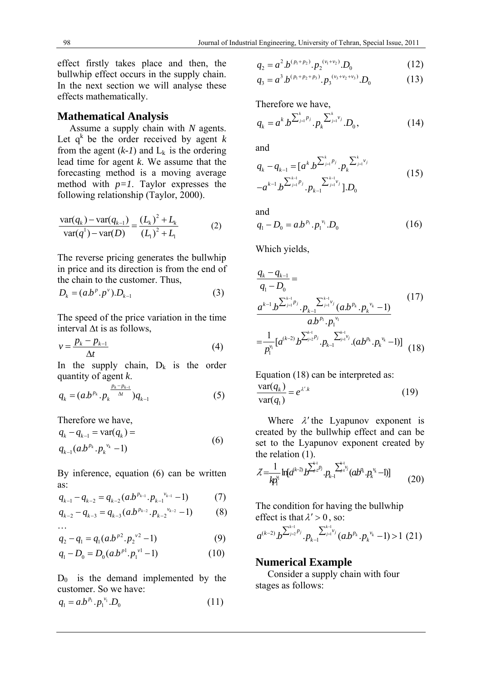effect firstly takes place and then, the bullwhip effect occurs in the supply chain. In the next section we will analyse these effects mathematically.

#### **Mathematical Analysis**

 Assume a supply chain with *N* agents. Let  $q^k$  be the order received by agent  $k$ from the agent  $(k-1)$  and  $L_k$  is the ordering lead time for agent *k*. We assume that the forecasting method is a moving average method with *p=1*. Taylor expresses the following relationship (Taylor, 2000).

$$
\frac{\text{var}(q_k) - \text{var}(q_{k-1})}{\text{var}(q^1) - \text{var}(D)} = \frac{(L_k)^2 + L_k}{(L_1)^2 + L_1}
$$
(2)

The reverse pricing generates the bullwhip in price and its direction is from the end of the chain to the customer. Thus,

$$
D_k = (a.b^p.p^v).D_{k-1}
$$
 (3)

The speed of the price variation in the time interval ∆t is as follows,

$$
v = \frac{p_k - p_{k-1}}{\Delta t} \tag{4}
$$

In the supply chain,  $D_k$  is the order quantity of agent *k*.

$$
q_k = (a.b^{p_k} \cdot p_k^{\frac{p_k - p_{k-1}}{\Delta t}}) q_{k-1}
$$
 (5)

Therefore we have,

$$
q_{k} - q_{k-1} = \text{var}(q_{k}) =
$$
  
\n
$$
q_{k-1}(ab^{p_{k}} \cdot p_{k}^{v_{k}} - 1)
$$
\n(6)

By inference, equation (6) can be written as:<br>  $a_{n-1} = a_{n-1} (a b^{p_{k-1}} n^{v_{k-1}})$ 

$$
q_{k-1} - q_{k-2} = q_{k-2}(a b^{p_{k-1}} \cdot p_{k-1}^{v_{k-1}} - 1)
$$
 (7)

$$
q_{k-2} - q_{k-3} = q_{k-3}(a b^{p_{k-2}} \cdot p_{k-2}^{p_{k-2}} - 1)
$$
 (8)

...  
\n
$$
q_2 - q_1 = q_1 (a.b^{p^2} \cdot p_2^{v^2} - 1)
$$
 (9)

$$
q_1 - D_0 = D_0 (a b^{p^1} \cdot p_1^{\nu 1} - 1) \tag{10}
$$

 $D_0$  is the demand implemented by the customer. So we have:

$$
q_1 = a.b^{p_1} \cdot p_1^{v_1} \cdot D_0 \tag{11}
$$

$$
q_2 = a^2 b^{(p_1 + p_2)} \cdot p_2^{(v_1 + v_2)} \cdot D_0 \tag{12}
$$

$$
q_3 = a^3 b^{(p_1 + p_2 + p_3)} \cdot p_3^{(v_3 + v_2 + v_3)} \cdot D_0 \tag{13}
$$

Therefore we have,

$$
q_{k} = a^{k} b^{\sum_{j=1}^{k} p_{j}} P_{k}^{\sum_{j=1}^{k} v_{j}} D_{0}, \qquad (14)
$$

and

$$
q_{k} - q_{k-1} = [a^{k} b^{\sum_{j=1}^{k} p_{j}} \cdot p_{k}^{\sum_{j=1}^{k} v_{j}} -a^{k-1} b^{\sum_{j=1}^{k-1} p_{j}} \cdot p_{k-1}^{\sum_{j=1}^{k-1} v_{j}}].D_{0}
$$
(15)

and  
\n
$$
q_1 - D_0 = a.b^{p_1} . p_1^{v_1} . D_0
$$
 (16)

Which yields,

$$
\frac{q_{k} - q_{k-1}}{q_{1} - D_{0}} = \frac{a^{k-1} b^{\sum_{j=1}^{k-1} p_{j}} \cdot p_{k-1}^{\sum_{j=1}^{k-1} y_{j}} (a b^{p_{k}} \cdot p_{k}^{v_{k}} - 1)}{a b^{p_{1}} \cdot p_{1}^{v_{1}}} = \frac{1}{p_{1}^{v_{1}} [a^{(k-2)} b^{\sum_{j=2}^{k-1} p_{j}} \cdot p_{k-1}^{\sum_{j=1}^{k-1} y_{j}} \cdot (a b^{p_{k}} \cdot p_{k}^{v_{k}} - 1)] \quad (18)
$$

Equation (18) can be interpreted as:

$$
\frac{\text{var}(q_k)}{\text{var}(q_1)} = e^{\lambda' \cdot k} \tag{19}
$$

Where  $\lambda'$  the Lyapunov exponent is created by the bullwhip effect and can be set to the Lyapunov exponent created by the relation  $(1)$ .

$$
\mathcal{X} = \frac{1}{kp_1^{\lambda_1}} \ln [d^{(k-2)} b^{\sum_{j=2}^{k-1} p_j} \sum_{j=1}^{k-1} (ab^{\lambda_1} \cdot p_k^{\lambda_1} - 1)] \tag{20}
$$

The condition for having the bullwhip effect is that  $\lambda' > 0$ , so:

$$
a^{(k-2)}b^{\sum_{j=2}^{k-1} p_j} \cdot p_{k-1}^{\sum_{j=1}^{k-1} v_j} (ab^{p_k} \cdot p_k^{\;v_k} - 1) > 1 \ (21)
$$

#### **Numerical Example**

 Consider a supply chain with four stages as follows: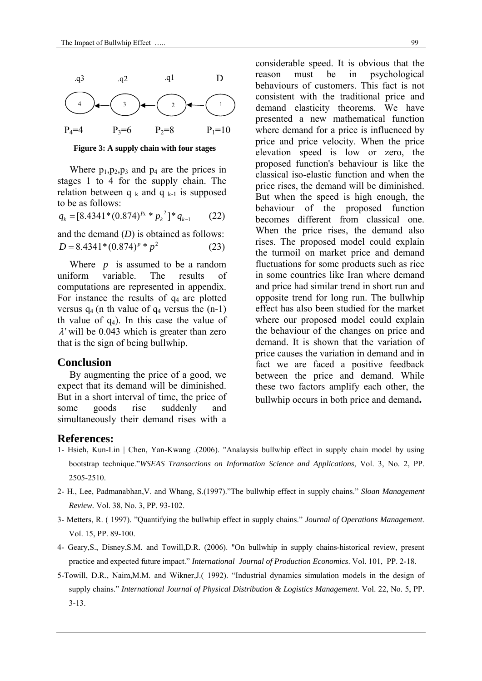

 **Figure 3: A supply chain with four stages**

Where  $p_1, p_2, p_3$  and  $p_4$  are the prices in stages 1 to 4 for the supply chain. The relation between  $q_k$  and  $q_{k-1}$  is supposed to be as follows:

$$
q_k = [8.4341 * (0.874)^{p_k} * p_k^2] * q_{k-1} \qquad (22)
$$

and the demand (*D*) is obtained as follows:  $D = 8.4341*(0.874)^p * p^2$  (23)

 Where *p* is assumed to be a random uniform variable. The results of computations are represented in appendix. For instance the results of  $q_4$  are plotted versus  $q_4$  (n th value of  $q_4$  versus the  $(n-1)$ ) th value of  $q_4$ ). In this case the value of  $\lambda$ ' will be 0.043 which is greater than zero that is the sign of being bullwhip.

#### **Conclusion**

 By augmenting the price of a good, we expect that its demand will be diminished. But in a short interval of time, the price of some goods rise suddenly and simultaneously their demand rises with a

considerable speed. It is obvious that the reason must be in psychological behaviours of customers. This fact is not consistent with the traditional price and demand elasticity theorems. We have presented a new mathematical function where demand for a price is influenced by price and price velocity. When the price elevation speed is low or zero, the proposed function's behaviour is like the classical iso-elastic function and when the price rises, the demand will be diminished. But when the speed is high enough, the behaviour of the proposed function becomes different from classical one. When the price rises, the demand also rises. The proposed model could explain the turmoil on market price and demand fluctuations for some products such as rice in some countries like Iran where demand and price had similar trend in short run and opposite trend for long run. The bullwhip effect has also been studied for the market where our proposed model could explain the behaviour of the changes on price and demand. It is shown that the variation of price causes the variation in demand and in fact we are faced a positive feedback between the price and demand. While these two factors amplify each other, the bullwhip occurs in both price and demand**.** 

#### **References:**

- 1- Hsieh, Kun-Lin | Chen, Yan-Kwang .(2006). "Analaysis bullwhip effect in supply chain model by using bootstrap technique."*WSEAS Transactions on Information Science and Applications*, Vol. 3, No. 2, PP. 2505-2510.
- 2- H., Lee, Padmanabhan,V. and Whang, S.(1997)."The bullwhip effect in supply chains." *Sloan Management Review.* Vol. 38, No. 3, PP. 93-102.
- 3- Metters, R. ( 1997). "Quantifying the bullwhip effect in supply chains." *Journal of Operations Management*. Vol. 15, PP. 89-100.
- 4- Geary,S., Disney,S.M. and Towill,D.R. (2006). "On bullwhip in supply chains-historical review, present practice and expected future impact." *International Journal of Production Economics*. Vol. 101, PP. 2-18.
- 5-Towill, D.R., Naim,M.M. and Wikner,J.( 1992). "Industrial dynamics simulation models in the design of supply chains." *International Journal of Physical Distribution & Logistics Management*. Vol. 22, No. 5, PP. 3-13.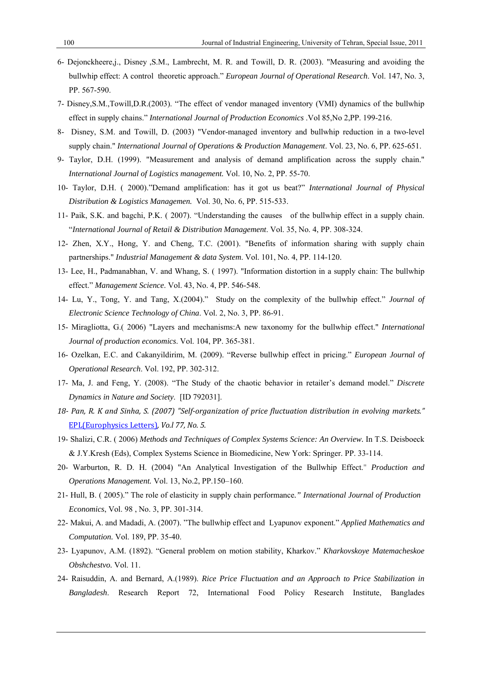- 6- Dejonckheere,j., Disney ,S.M., Lambrecht, M. R. and Towill, D. R. (2003). "Measuring and avoiding the bullwhip effect: A control theoretic approach." *European Journal of Operational Research*. Vol. 147, No. 3, PP. 567-590.
- 7- Disney,S.M.,Towill,D.R.(2003). "The effect of vendor managed inventory (VMI) dynamics of the bullwhip effect in supply chains." *International Journal of Production Economics* .Vol 85,No 2,PP. 199-216.
- 8- Disney, S.M. and Towill, D. (2003) "Vendor-managed inventory and bullwhip reduction in a two-level supply chain." *International Journal of Operations & Production Management*. Vol. 23, No. 6, PP. 625-651.
- 9- Taylor, D.H. (1999). "Measurement and analysis of demand amplification across the supply chain." *International Journal of Logistics management.* Vol. 10, No. 2, PP. 55-70.
- 10- Taylor, D.H. ( 2000)."Demand amplification: has it got us beat?" *International Journal of Physical Distribution & Logistics Managemen.* Vol. 30, No. 6, PP. 515-533.
- 11- Paik, S.K. and bagchi, P.K. ( 2007). "Understanding the causes of the bullwhip effect in a supply chain. "*International Journal of Retail & Distribution Management*. Vol. 35, No. 4, PP. 308-324.
- 12- Zhen, X.Y., Hong, Y. and Cheng, T.C. (2001). "Benefits of information sharing with supply chain partnerships." *Industrial Management & data System*. Vol. 101, No. 4, PP. 114-120.
- 13- Lee, H., Padmanabhan, V. and Whang, S. ( 1997). "Information distortion in a supply chain: The bullwhip effect." *Management Science*. Vol. 43, No. 4, PP. 546-548.
- 14- Lu, Y., Tong, Y. and Tang, X.(2004)." Study on the complexity of the bullwhip effect." *Journal of Electronic Science Technology of China*. Vol. 2, No. 3, PP. 86-91.
- 15- Miragliotta, G.( 2006) "Layers and mechanisms:A new taxonomy for the bullwhip effect." *International Journal of production economics*. Vol. 104, PP. 365-381.
- 16- Ozelkan, E.C. and Cakanyildirim, M. (2009). "Reverse bullwhip effect in pricing." *European Journal of Operational Research*. Vol. 192, PP. 302-312.
- 17- Ma, J. and Feng, Y. (2008). "The Study of the chaotic behavior in retailer's demand model." *Discrete Dynamics in Nature and Society*. [ID 792031].
- 18- Pan, R. K and Sinha, S. (2007) "Self-organization of price fluctuation distribution in evolving markets." EPL(Europhysics Letters)*, Vo.l 77, No. 5.*
- 19- Shalizi, C.R. ( 2006) *Methods and Techniques of Complex Systems Science: An Overview.* In T.S. Deisboeck & J.Y.Kresh (Eds), Complex Systems Science in Biomedicine, New York: Springer. PP. 33-114.
- 20- Warburton, R. D. H. (2004) "An Analytical Investigation of the Bullwhip Effect." *Production and Operations Management.* Vol. 13, No.2, PP.150–160.
- 21- Hull, B. ( 2005)." The role of elasticity in supply chain performance*." International Journal of Production Economics*, Vol. 98 , No. 3, PP. 301-314.
- 22- Makui, A. and Madadi, A. (2007). "The bullwhip effect and Lyapunov exponent." *Applied Mathematics and Computation.* Vol. 189, PP. 35-40.
- 23- Lyapunov, A.M. (1892). "General problem on motion stability, Kharkov." *Kharkovskoye Matemacheskoe Obshchestvo.* Vol. 11.
- 24- Raisuddin, A. and Bernard, A.(1989). *Rice Price Fluctuation and an Approach to Price Stabilization in Bangladesh*. Research Report 72, International Food Policy Research Institute, Banglades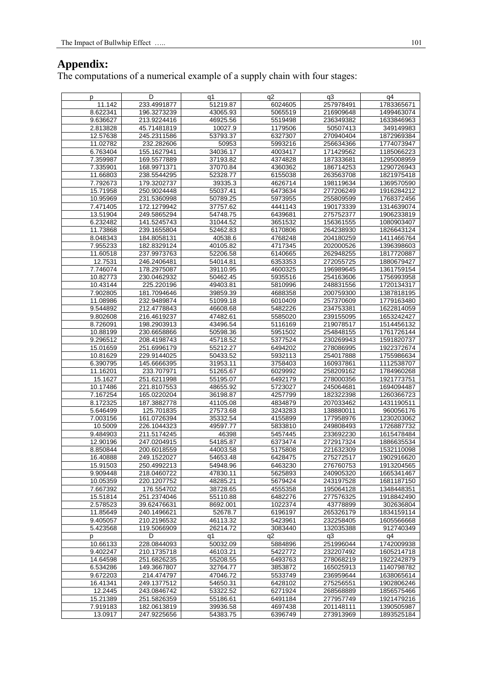## **Appendix:**

The computations of a numerical example of a supply chain with four stages:

| р        | D           | q1       | q2      | q3        | q4         |
|----------|-------------|----------|---------|-----------|------------|
| 11.142   | 233.4991877 | 51219.87 | 6024605 | 257978491 | 1783365671 |
| 8.622341 | 196.3273239 | 43065.93 | 5065519 | 216909648 | 1499463074 |
| 9.636627 | 213.9224416 | 46925.56 | 5519498 | 236349382 | 1633846963 |
| 2.813828 | 45.71481819 | 10027.9  | 1179506 | 50507413  | 349149983  |
| 12.57638 |             |          | 6327307 |           | 1872969384 |
|          | 245.2311586 | 53793.37 | 5993216 | 270940404 |            |
| 11.02782 | 232.282606  | 50953    |         | 256634366 | 1774073947 |
| 6.763404 | 155.1627941 | 34036.17 | 4003417 | 171429562 | 1185066223 |
| 7.359987 | 169.5577889 | 37193.82 | 4374828 | 187333681 | 1295008959 |
| 7.335901 | 168.9971371 | 37070.84 | 4360362 | 186714253 | 1290726943 |
| 11.66803 | 238.5544295 | 52328.77 | 6155038 | 263563708 | 1821975418 |
| 7.792673 | 179.3202737 | 39335.3  | 4626714 | 198119634 | 1369570590 |
| 15.71958 | 250.9024448 | 55037.41 | 6473634 | 277206249 | 1916284212 |
| 10.95969 | 231.5360998 | 50789.25 | 5973955 | 255809599 | 1768372456 |
| 7.471405 | 172.1279942 | 37757.62 | 4441143 | 190173339 | 1314639074 |
| 13.51904 | 249.5865294 | 54748.75 | 6439681 | 275752377 | 1906233819 |
| 6.232482 | 141.5245743 | 31044.52 | 3651532 | 156361555 | 1080903407 |
|          |             | 52462.83 |         |           |            |
| 11.73868 | 239.1655804 |          | 6170806 | 264238930 | 1826643124 |
| 8.048343 | 184.8058131 | 40538.6  | 4768248 | 204180259 | 1411466764 |
| 7.955233 | 182.8329124 | 40105.82 | 4717345 | 202000526 | 1396398603 |
| 11.60518 | 237.9973763 | 52206.58 | 6140665 | 262948255 | 1817720887 |
| 12.7531  | 246.2406481 | 54014.81 | 6353353 | 272055725 | 1880679427 |
| 7.746074 | 178.2975087 | 39110.95 | 4600325 | 196989645 | 1361759154 |
| 10.82773 | 230.0462932 | 50462.45 | 5935516 | 254163606 | 1756993958 |
| 10.43144 | 225.220196  | 49403.81 | 5810996 | 248831556 | 1720134317 |
| 7.902805 | 181.7094646 | 39859.39 | 4688358 | 200759300 | 1387818195 |
| 11.08986 | 232.9489874 | 51099.18 | 6010409 | 257370609 | 1779163480 |
| 9.544892 | 212.4778843 | 46608.68 | 5482226 | 234753381 | 1622814059 |
| 9.802608 | 216.4619237 | 47482.61 | 5585020 | 239155095 | 1653242427 |
|          | 198.2903913 |          |         |           |            |
| 8.726091 |             | 43496.54 | 5116169 | 219078517 | 1514456132 |
| 10.88199 | 230.6658866 | 50598.36 | 5951502 | 254848155 | 1761726144 |
| 9.296512 | 208.4198743 | 45718.52 | 5377524 | 230269943 | 1591820737 |
| 15.01659 | 251.6996179 | 55212.27 | 6494202 | 278086995 | 1922372674 |
| 10.81629 | 229.9144025 | 50433.52 | 5932113 | 254017888 | 1755986634 |
| 6.390795 | 145.6666395 | 31953.11 | 3758403 | 160937861 | 1112538707 |
| 11.16201 | 233.707971  | 51265.67 | 6029992 | 258209162 | 1784960268 |
| 15.1627  | 251.6211998 | 55195.07 | 6492179 | 278000356 | 1921773751 |
| 10.17486 | 221.8107553 | 48655.92 | 5723027 | 245064681 | 1694094487 |
| 7.167254 | 165.0220204 | 36198.87 | 4257799 | 182322398 | 1260366723 |
| 8.172325 | 187.3882778 | 41105.08 | 4834879 | 207033462 | 1431190511 |
| 5.646499 | 125.701835  | 27573.68 | 3243283 | 138880011 | 960056176  |
| 7.003156 | 161.0726394 | 35332.54 | 4155899 | 177958976 | 1230203062 |
| 10.5009  | 226.1044323 | 49597.77 |         | 249808493 | 1726887732 |
|          |             |          | 5833810 |           |            |
| 9.484903 | 211.5174245 | 46398    | 5457445 | 233692230 | 1615478484 |
| 12.90196 | 247.0204915 | 54185.87 | 6373474 | 272917324 | 1886635534 |
| 8.850844 | 200.6018559 | 44003.58 | 5175808 | 221632309 | 1532110098 |
| 16.40888 | 249.1522027 | 54653.48 | 6428475 | 275272517 | 1902916620 |
| 15.91503 | 250.4992213 | 54948.96 | 6463230 | 276760753 | 1913204565 |
| 9.909448 | 218.0460722 | 47830.11 | 5625893 | 240905320 | 1665341467 |
| 10.05359 | 220.1207752 | 48285.21 | 5679424 | 243197528 | 1681187150 |
| 7.667392 | 176.554702  | 38728.65 | 4555358 | 195064128 | 1348448351 |
| 15.51814 | 251.2374046 | 55110.88 | 6482276 | 277576325 | 1918842490 |
| 2.578523 | 39.62476631 | 8692.001 | 1022374 | 43778899  | 302636804  |
| 11.85649 | 240.1496621 | 52678.7  | 6196197 | 265326179 | 1834159114 |
| 9.405057 | 210.2196532 | 46113.32 | 5423961 | 232258405 | 1605566668 |
| 5.423568 | 119.5066909 | 26214.72 | 3083440 | 132035388 | 912740349  |
|          | D           | q1       | q2      | q3        | q4         |
| p        | 228.0844093 |          |         |           |            |
| 10.66133 |             | 50032.09 | 5884896 | 251996044 | 1742009938 |
| 9.402247 | 210.1735718 | 46103.21 | 5422772 | 232207492 | 1605214718 |
| 14.64598 | 251.6826235 | 55208.55 | 6493763 | 278068219 | 1922242879 |
| 6.534286 | 149.3667807 | 32764.77 | 3853872 | 165025913 | 1140798782 |
| 9.672203 | 214.474797  | 47046.72 | 5533749 | 236959644 | 1638065614 |
| 16.41341 | 249.1377512 | 54650.31 | 6428102 | 275256551 | 1902806246 |
| 12.2445  | 243.0846742 | 53322.52 | 6271924 | 268568889 | 1856575466 |
| 15.21389 | 251.5826359 | 55186.61 | 6491184 | 277957749 | 1921479216 |
| 7.919183 | 182.0613819 | 39936.58 | 4697438 | 201148111 | 1390505987 |
| 13.0917  | 247.9225656 | 54383.75 | 6396749 | 273913969 | 1893525184 |